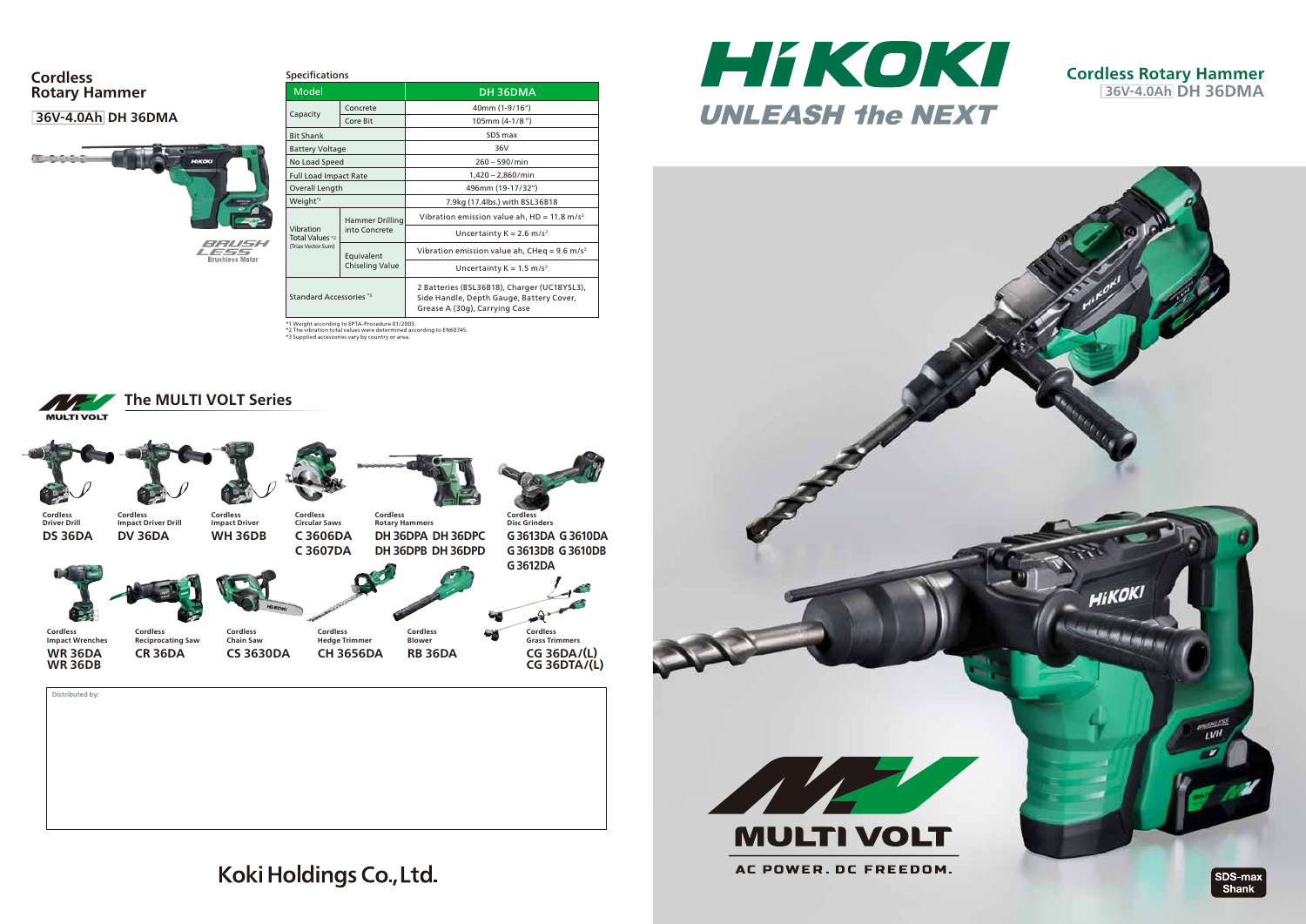**Distributed by:**

### **36V-4.0Ah DH 36DMA**



#### **Cordless Rotary Hammer**



**Cordless Impact Driver** **Cordless Rotary Hammers DH 36DPA DH 36DPC DH 36DPB DH 36DPD**





**Cordless Circular Saws**

**Cordless Driver Drill Cordless Impact Driver Drill**





| Model                                              |                                      | DH 36DMA                                                                                                                 |
|----------------------------------------------------|--------------------------------------|--------------------------------------------------------------------------------------------------------------------------|
| Capacity                                           | Concrete                             | 40mm (1-9/16")                                                                                                           |
|                                                    | Core Bit                             | 105mm (4-1/8")                                                                                                           |
| <b>Bit Shank</b>                                   |                                      | SDS max                                                                                                                  |
| <b>Battery Voltage</b>                             |                                      | 36V                                                                                                                      |
| No Load Speed                                      |                                      | $260 - 590/min$                                                                                                          |
| <b>Full Load Impact Rate</b>                       |                                      | $1,420 - 2,860/min$                                                                                                      |
| Overall Length                                     |                                      | 496mm (19-17/32")                                                                                                        |
| Weight <sup>*1</sup>                               |                                      | 7.9kg (17.4lbs.) with BSL36B18                                                                                           |
| Vibration<br>Total Values *2<br>(Triax Vector Sum) | Hammer Drilling<br>into Concrete     | Vibration emission value ah, $HD = 11.8$ m/s <sup>2</sup>                                                                |
|                                                    |                                      | Uncertainty $K = 2.6$ m/s <sup>2</sup>                                                                                   |
|                                                    | Equivalent<br><b>Chiseling Value</b> | Vibration emission value ah, CHeq = 9.6 m/s <sup>2</sup>                                                                 |
|                                                    |                                      | Uncertainty $K = 1.5$ m/s <sup>2</sup>                                                                                   |
| Standard Accessories <sup>*3</sup>                 |                                      | 2 Batteries (BSL36B18), Charger (UC18YSL3),<br>Side Handle, Depth Gauge, Battery Cover,<br>Grease A (30g), Carrying Case |

\*1 Weight according to EPTA-Procedure 01/2003.<br>\*2 The vibration total values were determined according to EN60745.<br>\*3 Supplied accessories vary by country or area.

**Cordless Impact Wrenches WR 36DA**



**Cordless Grass Trimmers** 

**CG 36DA/(L) CG 36DTA/(L)**



HIKOKI **UNLEASH the NEXT** 



**Cordless Blower RB 36DA Cordless Hedge Trimmer CH 3656DA**